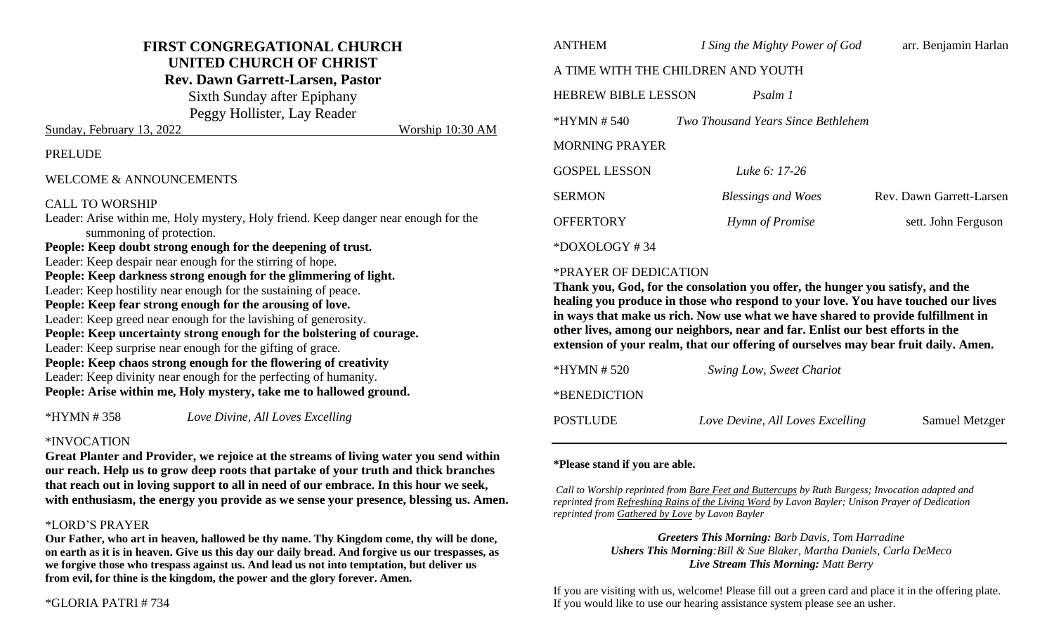# **FIRST CONGREGATIONAL CHURCH UNITED CHURCH OF CHRIST**

**Rev. Dawn Garrett-Larsen, Pastor**

Sixth Sunday after Epiphany

Peggy Hollister, Lay Reader Sunday, February 13, 2022 Worship 10:30 AM

#### PRELUDE

#### WELCOME & ANNOUNCEMENTS

#### CALL TO WORSHIP

Leader: Arise within me, Holy mystery, Holy friend. Keep danger near enough for the summoning of protection.

**People: Keep doubt strong enough for the deepening of trust.** Leader: Keep despair near enough for the stirring of hope. **People: Keep darkness strong enough for the glimmering of light.** Leader: Keep hostility near enough for the sustaining of peace. **People: Keep fear strong enough for the arousing of love.** Leader: Keep greed near enough for the lavishing of generosity. **People: Keep uncertainty strong enough for the bolstering of courage.** Leader: Keep surprise near enough for the gifting of grace. **People: Keep chaos strong enough for the flowering of creativity** Leader: Keep divinity near enough for the perfecting of humanity. **People: Arise within me, Holy mystery, take me to hallowed ground.**

\*HYMN # 358 *Love Divine, All Loves Excelling*

#### \*INVOCATION

**Great Planter and Provider, we rejoice at the streams of living water you send within our reach. Help us to grow deep roots that partake of your truth and thick branches that reach out in loving support to all in need of our embrace. In this hour we seek, with enthusiasm, the energy you provide as we sense your presence, blessing us. Amen.**

#### \*LORD'S PRAYER

**Our Father, who art in heaven, hallowed be thy name. Thy Kingdom come, thy will be done, on earth as it is in heaven. Give us this day our daily bread. And forgive us our trespasses, as we forgive those who trespass against us. And lead us not into temptation, but deliver us from evil, for thine is the kingdom, the power and the glory forever. Amen.**

| <b>ANTHEM</b>                      | I Sing the Mighty Power of God            | arr. Benjamin Harlan     |  |  |
|------------------------------------|-------------------------------------------|--------------------------|--|--|
| A TIME WITH THE CHILDREN AND YOUTH |                                           |                          |  |  |
| <b>HEBREW BIBLE LESSON</b>         | Psalm 1                                   |                          |  |  |
| $*HYMN # 540$                      | <i>Two Thousand Years Since Bethlehem</i> |                          |  |  |
| <b>MORNING PRAYER</b>              |                                           |                          |  |  |
| <b>GOSPEL LESSON</b>               | Luke 6: 17-26                             |                          |  |  |
| <b>SERMON</b>                      | <b>Blessings and Woes</b>                 | Rev. Dawn Garrett-Larsen |  |  |
| <b>OFFERTORY</b>                   | Hymn of Promise                           | sett. John Ferguson      |  |  |
|                                    |                                           |                          |  |  |

\*DOXOLOGY # 34

#### \*PRAYER OF DEDICATION

**Thank you, God, for the consolation you offer, the hunger you satisfy, and the healing you produce in those who respond to your love. You have touched our lives in ways that make us rich. Now use what we have shared to provide fulfillment in other lives, among our neighbors, near and far. Enlist our best efforts in the extension of your realm, that our offering of ourselves may bear fruit daily. Amen.**

| *HYMN # 520  | Swing Low, Sweet Chariot         |                       |
|--------------|----------------------------------|-----------------------|
| *BENEDICTION |                                  |                       |
| POSTLUDE     | Love Devine, All Loves Excelling | <b>Samuel Metzger</b> |

#### **\*Please stand if you are able.**

*Call to Worship reprinted from Bare Feet and Buttercups by Ruth Burgess; Invocation adapted and reprinted from Refreshing Rains of the Living Word by Lavon Bayler; Unison Prayer of Dedication reprinted from Gathered by Love by Lavon Bayler*

> *Greeters This Morning: Barb Davis, Tom Harradine Ushers This Morning:Bill & Sue Blaker, Martha Daniels, Carla DeMeco Live Stream This Morning: Matt Berry*

If you are visiting with us, welcome! Please fill out a green card and place it in the offering plate. If you would like to use our hearing assistance system please see an usher.